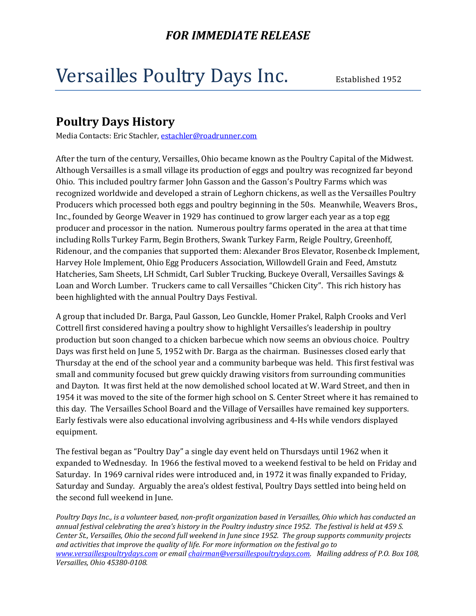# Versailles Poultry Days Inc. Established 1952

#### **Poultry Days History**

Media Contacts: Eric Stachler, [estachler@roadrunner.com](mailto:estachler@roadrunner.com) 

After the turn of the century, Versailles, Ohio became known as the Poultry Capital of the Midwest. Although Versailles is a small village its production of eggs and poultry was recognized far beyond Ohio. This included poultry farmer John Gasson and the Gasson's Poultry Farms which was recognized worldwide and developed a strain of Leghorn chickens, as well as the Versailles Poultry Producers which processed both eggs and poultry beginning in the 50s. Meanwhile, Weavers Bros., Inc., founded by George Weaver in 1929 has continued to grow larger each year as a top egg producer and processor in the nation. Numerous poultry farms operated in the area at that time including Rolls Turkey Farm, Begin Brothers, Swank Turkey Farm, Reigle Poultry, Greenhoff, Ridenour, and the companies that supported them: Alexander Bros Elevator, Rosenbeck Implement, Harvey Hole Implement, Ohio Egg Producers Association, Willowdell Grain and Feed, Amstutz Hatcheries, Sam Sheets, LH Schmidt, Carl Subler Trucking, Buckeye Overall, Versailles Savings & Loan and Worch Lumber. Truckers came to call Versailles "Chicken City". This rich history has been highlighted with the annual Poultry Days Festival.

A group that included Dr. Barga, Paul Gasson, Leo Gunckle, Homer Prakel, Ralph Crooks and Verl Cottrell first considered having a poultry show to highlight Versailles's leadership in poultry production but soon changed to a chicken barbecue which now seems an obvious choice. Poultry Days was first held on June 5, 1952 with Dr. Barga as the chairman. Businesses closed early that Thursday at the end of the school year and a community barbeque was held. This first festival was small and community focused but grew quickly drawing visitors from surrounding communities and Dayton. It was first held at the now demolished school located at W. Ward Street, and then in 1954 it was moved to the site of the former high school on S. Center Street where it has remained to this day. The Versailles School Board and the Village of Versailles have remained key supporters. Early festivals were also educational involving agribusiness and 4-Hs while vendors displayed equipment.

The festival began as "Poultry Day" a single day event held on Thursdays until 1962 when it expanded to Wednesday. In 1966 the festival moved to a weekend festival to be held on Friday and Saturday. In 1969 carnival rides were introduced and, in 1972 it was finally expanded to Friday, Saturday and Sunday. Arguably the area's oldest festival, Poultry Days settled into being held on the second full weekend in June.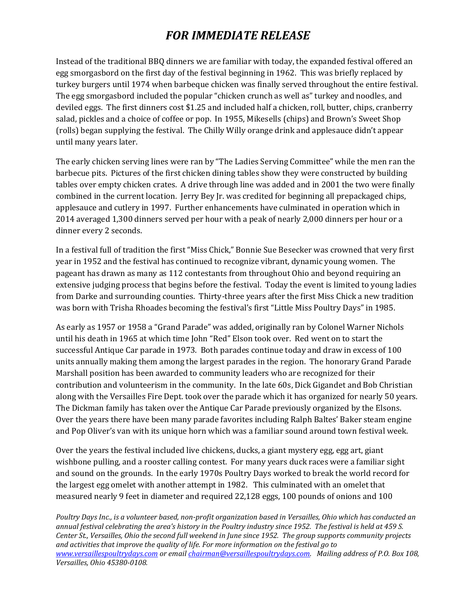Instead of the traditional BBQ dinners we are familiar with today, the expanded festival offered an egg smorgasbord on the first day of the festival beginning in 1962. This was briefly replaced by turkey burgers until 1974 when barbeque chicken was finally served throughout the entire festival. The egg smorgasbord included the popular "chicken crunch as well as" turkey and noodles, and deviled eggs. The first dinners cost \$1.25 and included half a chicken, roll, butter, chips, cranberry salad, pickles and a choice of coffee or pop. In 1955, Mikesells (chips) and Brown's Sweet Shop (rolls) began supplying the festival. The Chilly Willy orange drink and applesauce didn't appear until many years later.

The early chicken serving lines were ran by "The Ladies Serving Committee" while the men ran the barbecue pits. Pictures of the first chicken dining tables show they were constructed by building tables over empty chicken crates. A drive through line was added and in 2001 the two were finally combined in the current location. Jerry Bey Jr. was credited for beginning all prepackaged chips, applesauce and cutlery in 1997. Further enhancements have culminated in operation which in 2014 averaged 1,300 dinners served per hour with a peak of nearly 2,000 dinners per hour or a dinner every 2 seconds.

In a festival full of tradition the first "Miss Chick," Bonnie Sue Besecker was crowned that very first year in 1952 and the festival has continued to recognize vibrant, dynamic young women. The pageant has drawn as many as 112 contestants from throughout Ohio and beyond requiring an extensive judging process that begins before the festival. Today the event is limited to young ladies from Darke and surrounding counties. Thirty-three years after the first Miss Chick a new tradition was born with Trisha Rhoades becoming the festival's first "Little Miss Poultry Days" in 1985.

As early as 1957 or 1958 a "Grand Parade" was added, originally ran by Colonel Warner Nichols until his death in 1965 at which time John "Red" Elson took over. Red went on to start the successful Antique Car parade in 1973. Both parades continue today and draw in excess of 100 units annually making them among the largest parades in the region. The honorary Grand Parade Marshall position has been awarded to community leaders who are recognized for their contribution and volunteerism in the community. In the late 60s, Dick Gigandet and Bob Christian along with the Versailles Fire Dept. took over the parade which it has organized for nearly 50 years. The Dickman family has taken over the Antique Car Parade previously organized by the Elsons. Over the years there have been many parade favorites including Ralph Baltes' Baker steam engine and Pop Oliver's van with its unique horn which was a familiar sound around town festival week.

Over the years the festival included live chickens, ducks, a giant mystery egg, egg art, giant wishbone pulling, and a rooster calling contest. For many years duck races were a familiar sight and sound on the grounds. In the early 1970s Poultry Days worked to break the world record for the largest egg omelet with another attempt in 1982. This culminated with an omelet that measured nearly 9 feet in diameter and required 22,128 eggs, 100 pounds of onions and 100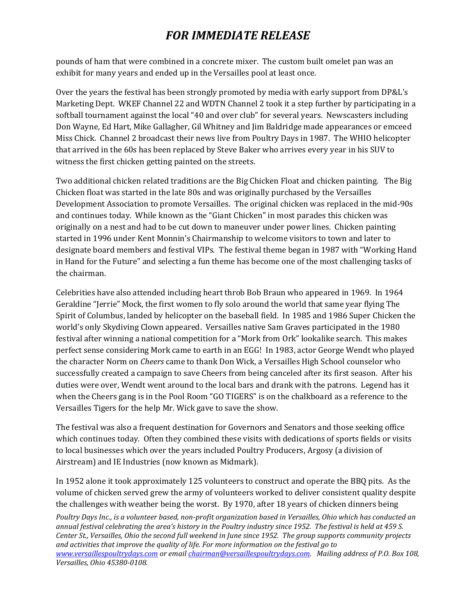pounds of ham that were combined in a concrete mixer. The custom built omelet pan was an exhibit for many years and ended up in the Versailles pool at least once.

Over the years the festival has been strongly promoted by media with early support from DP&L's Marketing Dept. WKEF Channel 22 and WDTN Channel 2 took it a step further by participating in a softball tournament against the local "40 and over club" for several years. Newscasters including Don Wayne, Ed Hart, Mike Gallagher, Gil Whitney and Jim Baldridge made appearances or emceed Miss Chick. Channel 2 broadcast their news live from Poultry Days in 1987. The WHIO helicopter that arrived in the 60s has been replaced by Steve Baker who arrives every year in his SUV to witness the first chicken getting painted on the streets.

Two additional chicken related traditions are the Big Chicken Float and chicken painting. The Big Chicken float was started in the late 80s and was originally purchased by the Versailles Development Association to promote Versailles. The original chicken was replaced in the mid-90s and continues today. While known as the "Giant Chicken" in most parades this chicken was originally on a nest and had to be cut down to maneuver under power lines. Chicken painting started in 1996 under Kent Monnin's Chairmanship to welcome visitors to town and later to designate board members and festival VIPs. The festival theme began in 1987 with "Working Hand in Hand for the Future" and selecting a fun theme has become one of the most challenging tasks of the chairman.

Celebrities have also attended including heart throb Bob Braun who appeared in 1969. In 1964 Geraldine "Jerrie" Mock, the first women to fly solo around the world that same year flying The Spirit of Columbus, landed by helicopter on the baseball field. In 1985 and 1986 Super Chicken the world's only Skydiving Clown appeared. Versailles native Sam Graves participated in the 1980 festival after winning a national competition for a "Mork from Ork" lookalike search. This makes perfect sense considering Mork came to earth in an EGG! In 1983, actor George Wendt who played the character Norm on *Cheers* came to thank Don Wick, a Versailles High School counselor who successfully created a campaign to save Cheers from being canceled after its first season. After his duties were over, Wendt went around to the local bars and drank with the patrons. Legend has it when the Cheers gang is in the Pool Room "GO TIGERS" is on the chalkboard as a reference to the Versailles Tigers for the help Mr. Wick gave to save the show.

The festival was also a frequent destination for Governors and Senators and those seeking office which continues today. Often they combined these visits with dedications of sports fields or visits to local businesses which over the years included Poultry Producers, Argosy (a division of Airstream) and IE Industries (now known as Midmark).

In 1952 alone it took approximately 125 volunteers to construct and operate the BBQ pits. As the volume of chicken served grew the army of volunteers worked to deliver consistent quality despite the challenges with weather being the worst. By 1970, after 18 years of chicken dinners being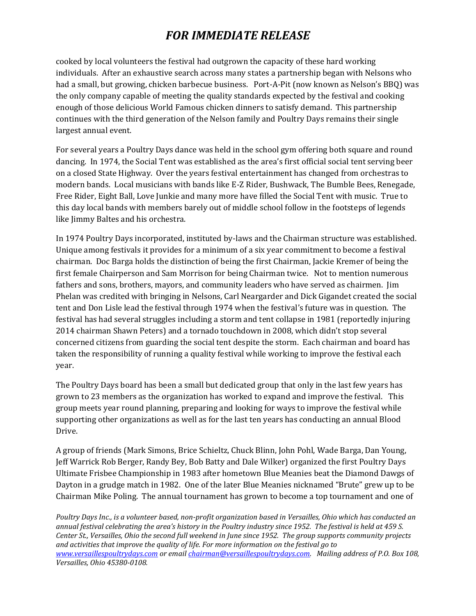cooked by local volunteers the festival had outgrown the capacity of these hard working individuals. After an exhaustive search across many states a partnership began with Nelsons who had a small, but growing, chicken barbecue business. Port-A-Pit (now known as Nelson's BBQ) was the only company capable of meeting the quality standards expected by the festival and cooking enough of those delicious World Famous chicken dinners to satisfy demand. This partnership continues with the third generation of the Nelson family and Poultry Days remains their single largest annual event.

For several years a Poultry Days dance was held in the school gym offering both square and round dancing. In 1974, the Social Tent was established as the area's first official social tent serving beer on a closed State Highway. Over the years festival entertainment has changed from orchestras to modern bands. Local musicians with bands like E-Z Rider, Bushwack, The Bumble Bees, Renegade, Free Rider, Eight Ball, Love Junkie and many more have filled the Social Tent with music. True to this day local bands with members barely out of middle school follow in the footsteps of legends like Jimmy Baltes and his orchestra.

In 1974 Poultry Days incorporated, instituted by-laws and the Chairman structure was established. Unique among festivals it provides for a minimum of a six year commitment to become a festival chairman. Doc Barga holds the distinction of being the first Chairman, Jackie Kremer of being the first female Chairperson and Sam Morrison for being Chairman twice. Not to mention numerous fathers and sons, brothers, mayors, and community leaders who have served as chairmen. Jim Phelan was credited with bringing in Nelsons, Carl Neargarder and Dick Gigandet created the social tent and Don Lisle lead the festival through 1974 when the festival's future was in question. The festival has had several struggles including a storm and tent collapse in 1981 (reportedly injuring 2014 chairman Shawn Peters) and a tornado touchdown in 2008, which didn't stop several concerned citizens from guarding the social tent despite the storm. Each chairman and board has taken the responsibility of running a quality festival while working to improve the festival each year.

The Poultry Days board has been a small but dedicated group that only in the last few years has grown to 23 members as the organization has worked to expand and improve the festival. This group meets year round planning, preparing and looking for ways to improve the festival while supporting other organizations as well as for the last ten years has conducting an annual Blood Drive.

A group of friends (Mark Simons, Brice Schieltz, Chuck Blinn, John Pohl, Wade Barga, Dan Young, Jeff Warrick Rob Berger, Randy Bey, Bob Batty and Dale Wilker) organized the first Poultry Days Ultimate Frisbee Championship in 1983 after hometown Blue Meanies beat the Diamond Dawgs of Dayton in a grudge match in 1982. One of the later Blue Meanies nicknamed "Brute" grew up to be Chairman Mike Poling. The annual tournament has grown to become a top tournament and one of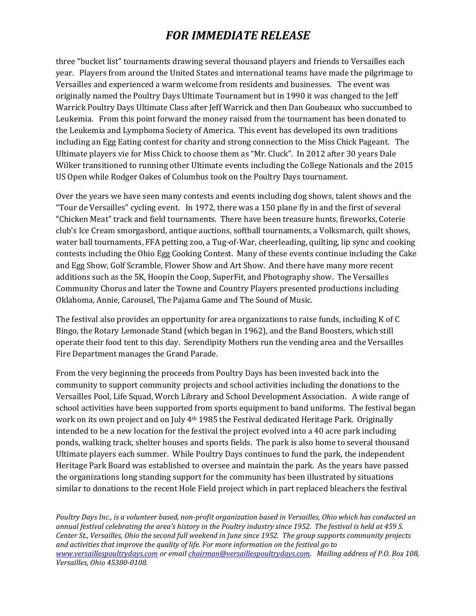three "bucket list" tournaments drawing several thousand players and friends to Versailles each year. Players from around the United States and international teams have made the pilgrimage to Versailles and experienced a warm welcome from residents and businesses. The event was originally named the Poultry Days Ultimate Tournament but in 1990 it was changed to the Jeff Warrick Poultry Days Ultimate Class after Jeff Warrick and then Dan Goubeaux who succumbed to Leukemia. From this point forward the money raised from the tournament has been donated to the Leukemia and Lymphoma Society of America. This event has developed its own traditions including an Egg Eating contest for charity and strong connection to the Miss Chick Pageant. The Ultimate players vie for Miss Chick to choose them as "Mr. Cluck". In 2012 after 30 years Dale Wilker transitioned to running other Ultimate events including the College Nationals and the 2015 US Open while Rodger Oakes of Columbus took on the Poultry Days tournament.

Over the years we have seen many contests and events including dog shows, talent shows and the "Tour de Versailles" cycling event. In 1972, there was a 150 plane fly in and the first of several "Chicken Meat" track and field tournaments. There have been treasure hunts, fireworks, Coterie club's Ice Cream smorgasbord, antique auctions, softball tournaments, a Volksmarch, quilt shows, water ball tournaments, FFA petting zoo, a Tug-of-War, cheerleading, quilting, lip sync and cooking contests including the Ohio Egg Cooking Contest. Many of these events continue including the Cake and Egg Show, Golf Scramble, Flower Show and Art Show. And there have many more recent additions such as the 5K, Hoopin the Coop, SuperFit, and Photography show. The Versailles Community Chorus and later the Towne and Country Players presented productions including Oklahoma, Annie, Carousel, The Pajama Game and The Sound of Music.

The festival also provides an opportunity for area organizations to raise funds, including K of C Bingo, the Rotary Lemonade Stand (which began in 1962), and the Band Boosters, which still operate their food tent to this day. Serendipity Mothers run the vending area and the Versailles Fire Department manages the Grand Parade.

From the very beginning the proceeds from Poultry Days has been invested back into the community to support community projects and school activities including the donations to the Versailles Pool, Life Squad, Worch Library and School Development Association. A wide range of school activities have been supported from sports equipment to band uniforms. The festival began work on its own project and on July 4th 1985 the Festival dedicated Heritage Park. Originally intended to be a new location for the festival the project evolved into a 40 acre park including ponds, walking track, shelter houses and sports fields. The park is also home to several thousand Ultimate players each summer. While Poultry Days continues to fund the park, the independent Heritage Park Board was established to oversee and maintain the park. As the years have passed the organizations long standing support for the community has been illustrated by situations similar to donations to the recent Hole Field project which in part replaced bleachers the festival